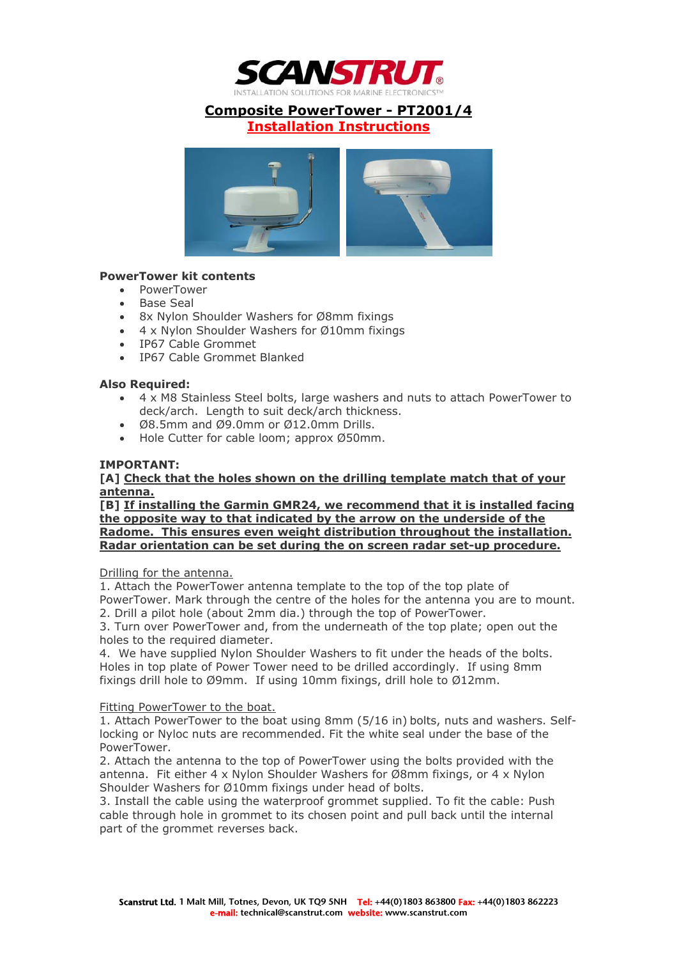

# **Composite PowerTower - PT2001/4**

**Installation Instructions**



## **PowerTower kit contents**

- PowerTower
- Base Seal
- 8x Nylon Shoulder Washers for Ø8mm fixings
- 4 x Nylon Shoulder Washers for Ø10mm fixings
- IP67 Cable Grommet
- IP67 Cable Grommet Blanked

#### **Also Required:**

- 4 x M8 Stainless Steel bolts, large washers and nuts to attach PowerTower to deck/arch. Length to suit deck/arch thickness.
- Ø8.5mm and Ø9.0mm or Ø12.0mm Drills.
- Hole Cutter for cable loom; approx Ø50mm.

#### **IMPORTANT:**

#### **[A] Check that the holes shown on the drilling template match that of your antenna.**

**[B] If installing the Garmin GMR24, we recommend that it is installed facing the opposite way to that indicated by the arrow on the underside of the Radome. This ensures even weight distribution throughout the installation. Radar orientation can be set during the on screen radar set-up procedure.**

Drilling for the antenna.

1. Attach the PowerTower antenna template to the top of the top plate of

PowerTower. Mark through the centre of the holes for the antenna you are to mount. 2. Drill a pilot hole (about 2mm dia.) through the top of PowerTower.

3. Turn over PowerTower and, from the underneath of the top plate; open out the holes to the required diameter.

4. We have supplied Nylon Shoulder Washers to fit under the heads of the bolts. Holes in top plate of Power Tower need to be drilled accordingly. If using 8mm fixings drill hole to Ø9mm. If using 10mm fixings, drill hole to Ø12mm.

#### Fitting PowerTower to the boat.

1. Attach PowerTower to the boat using 8mm (5/16 in) bolts, nuts and washers. Selflocking or Nyloc nuts are recommended. Fit the white seal under the base of the PowerTower.

2. Attach the antenna to the top of PowerTower using the bolts provided with the antenna. Fit either 4 x Nylon Shoulder Washers for Ø8mm fixings, or 4 x Nylon Shoulder Washers for Ø10mm fixings under head of bolts.

3. Install the cable using the waterproof grommet supplied. To fit the cable: Push cable through hole in grommet to its chosen point and pull back until the internal part of the grommet reverses back.